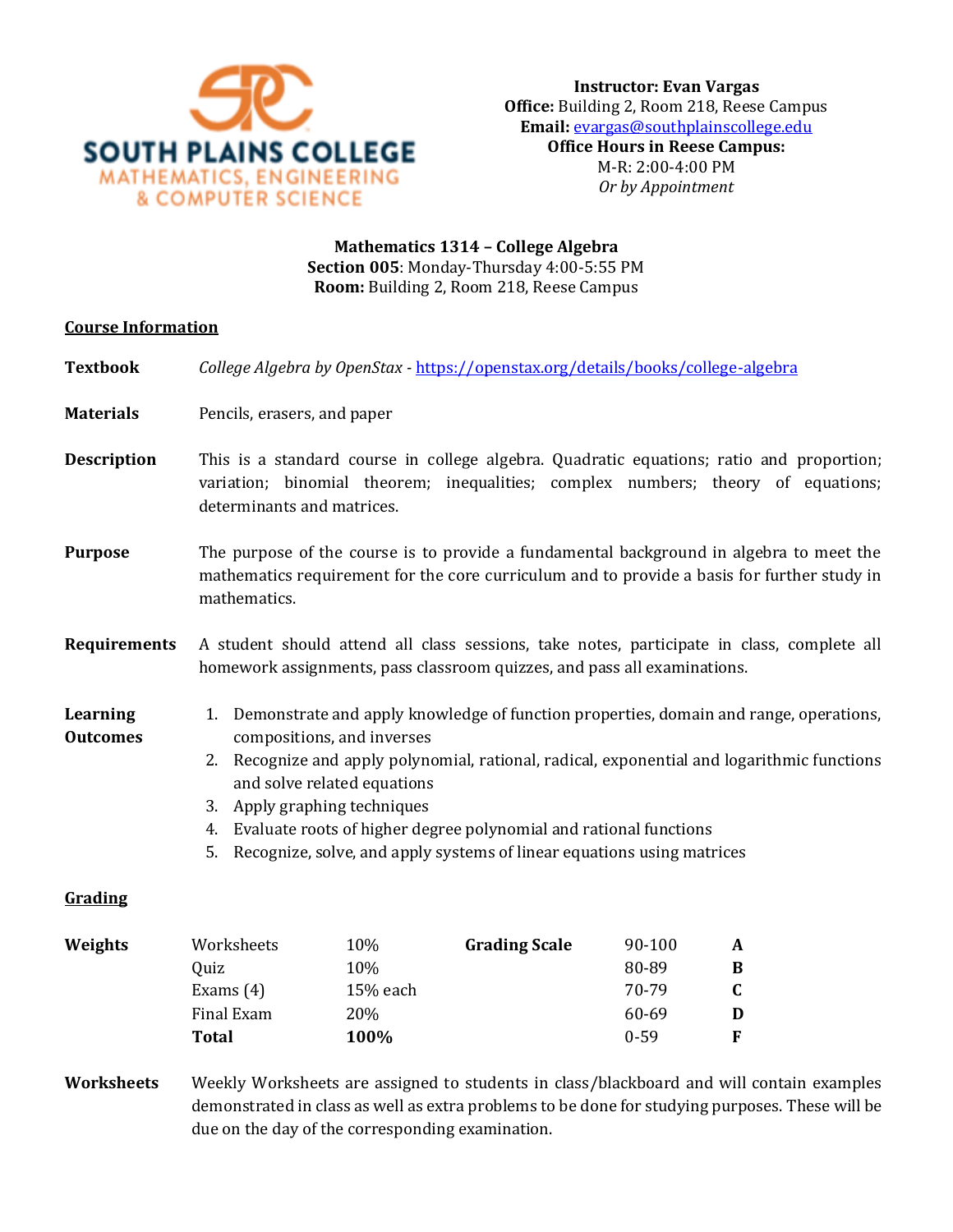

*Or by Appointment*

**Mathematics 1314 – College Algebra Section 005**: Monday-Thursday 4:00-5:55 PM **Room:** Building 2, Room 218, Reese Campus

## **Course Information**

- **Textbook** *College Algebra by OpenStax -* <https://openstax.org/details/books/college-algebra>
- **Materials** Pencils, erasers, and paper
- **Description** This is a standard course in college algebra. Quadratic equations; ratio and proportion; variation; binomial theorem; inequalities; complex numbers; theory of equations; determinants and matrices.
- **Purpose** The purpose of the course is to provide a fundamental background in algebra to meet the mathematics requirement for the core curriculum and to provide a basis for further study in mathematics.
- **Requirements** A student should attend all class sessions, take notes, participate in class, complete all homework assignments, pass classroom quizzes, and pass all examinations.
- **Learning Outcomes** 1. Demonstrate and apply knowledge of function properties, domain and range, operations, compositions, and inverses
	- 2. Recognize and apply polynomial, rational, radical, exponential and logarithmic functions and solve related equations
	- 3. Apply graphing techniques
	- 4. Evaluate roots of higher degree polynomial and rational functions
	- 5. Recognize, solve, and apply systems of linear equations using matrices

## **Grading**

| Worksheets  | 10%        | <b>Grading Scale</b> | 90-100   | A            |
|-------------|------------|----------------------|----------|--------------|
| Ouiz        | 10%        |                      | 80-89    | B            |
| Exams $(4)$ | 15% each   |                      | 70-79    |              |
| Final Exam  | <b>20%</b> |                      | 60-69    | D            |
| Total       | 100%       |                      | $0 - 59$ | $\mathbf{F}$ |
|             |            |                      |          |              |

**Worksheets** Weekly Worksheets are assigned to students in class/blackboard and will contain examples demonstrated in class as well as extra problems to be done for studying purposes. These will be due on the day of the corresponding examination.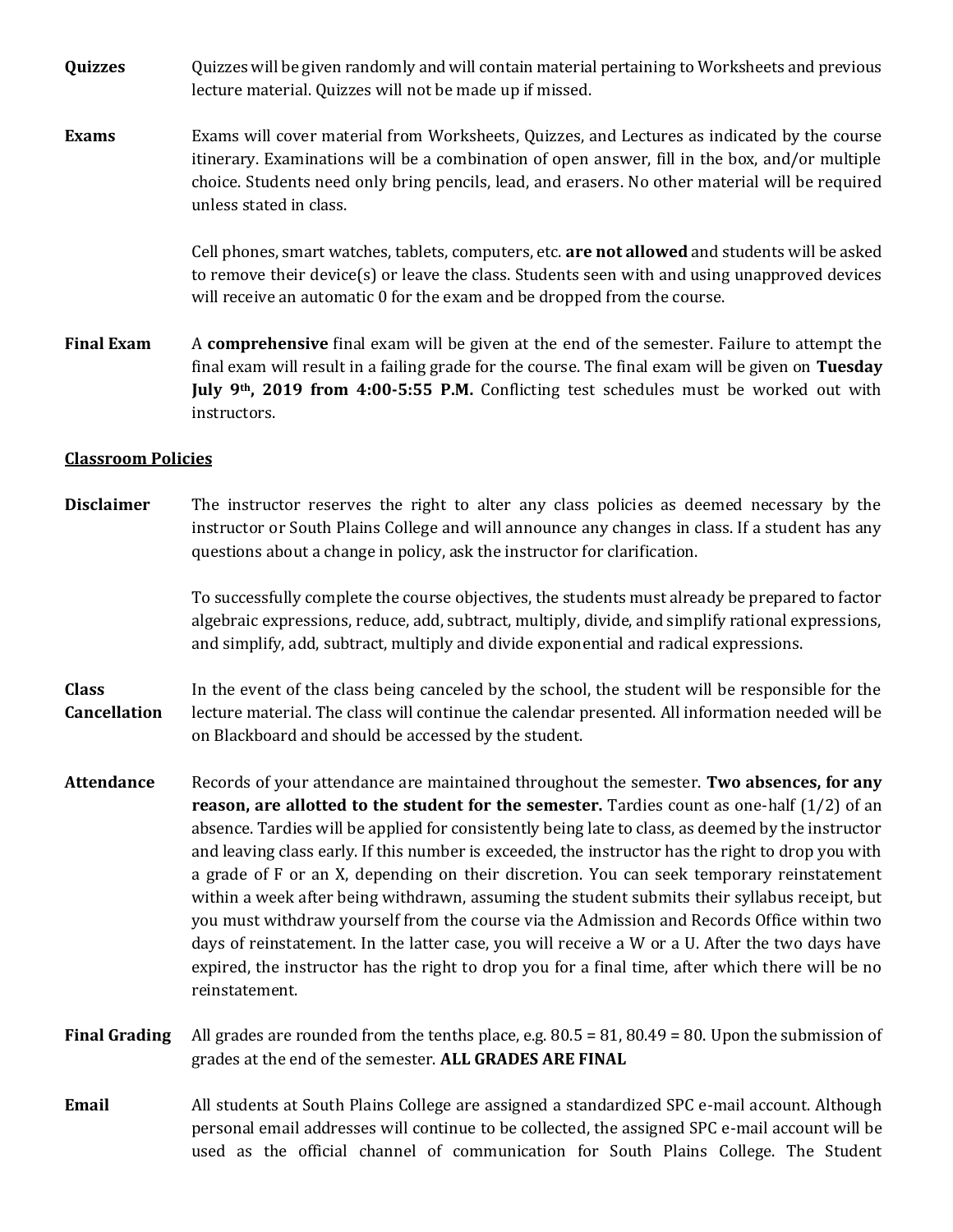- **Quizzes** Quizzes will be given randomly and will contain material pertaining to Worksheets and previous lecture material. Quizzes will not be made up if missed.
- **Exams** Exams will cover material from Worksheets, Quizzes, and Lectures as indicated by the course itinerary. Examinations will be a combination of open answer, fill in the box, and/or multiple choice. Students need only bring pencils, lead, and erasers. No other material will be required unless stated in class.

Cell phones, smart watches, tablets, computers, etc. **are not allowed** and students will be asked to remove their device(s) or leave the class. Students seen with and using unapproved devices will receive an automatic 0 for the exam and be dropped from the course.

**Final Exam** A **comprehensive** final exam will be given at the end of the semester. Failure to attempt the final exam will result in a failing grade for the course. The final exam will be given on **Tuesday July 9th, 2019 from 4:00-5:55 P.M.** Conflicting test schedules must be worked out with instructors.

## **Classroom Policies**

**Disclaimer** The instructor reserves the right to alter any class policies as deemed necessary by the instructor or South Plains College and will announce any changes in class. If a student has any questions about a change in policy, ask the instructor for clarification.

> To successfully complete the course objectives, the students must already be prepared to factor algebraic expressions, reduce, add, subtract, multiply, divide, and simplify rational expressions, and simplify, add, subtract, multiply and divide exponential and radical expressions.

- **Class Cancellation**  In the event of the class being canceled by the school, the student will be responsible for the lecture material. The class will continue the calendar presented. All information needed will be on Blackboard and should be accessed by the student.
- **Attendance** Records of your attendance are maintained throughout the semester. **Two absences, for any reason, are allotted to the student for the semester.** Tardies count as one-half (1/2) of an absence. Tardies will be applied for consistently being late to class, as deemed by the instructor and leaving class early. If this number is exceeded, the instructor has the right to drop you with a grade of F or an X, depending on their discretion. You can seek temporary reinstatement within a week after being withdrawn, assuming the student submits their syllabus receipt, but you must withdraw yourself from the course via the Admission and Records Office within two days of reinstatement. In the latter case, you will receive a W or a U. After the two days have expired, the instructor has the right to drop you for a final time, after which there will be no reinstatement.
- **Final Grading** All grades are rounded from the tenths place, e.g. 80.5 = 81, 80.49 = 80. Upon the submission of grades at the end of the semester. **ALL GRADES ARE FINAL**
- **Email** All students at South Plains College are assigned a standardized SPC e-mail account. Although personal email addresses will continue to be collected, the assigned SPC e-mail account will be used as the official channel of communication for South Plains College. The Student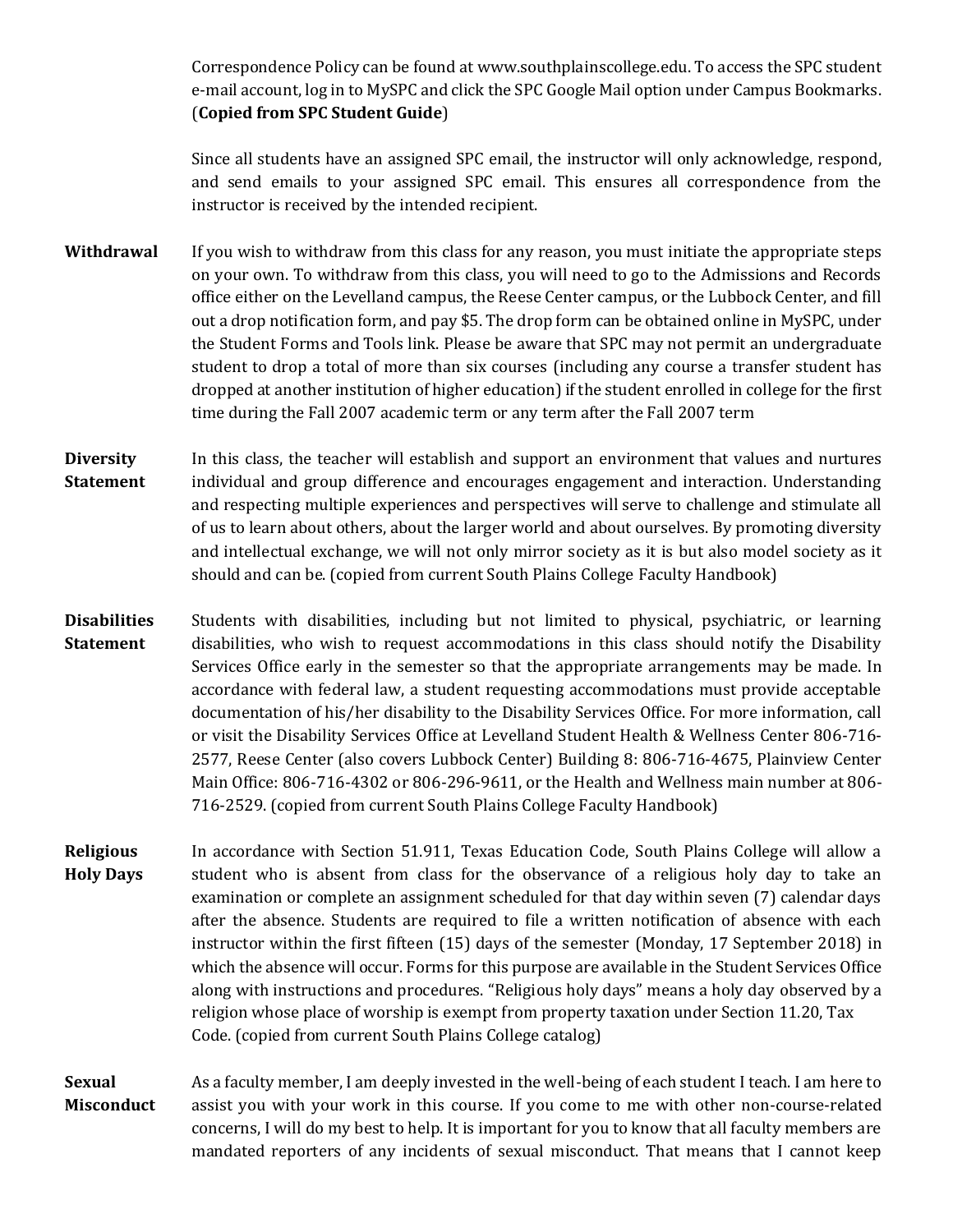Correspondence Policy can be found at www.southplainscollege.edu. To access the SPC student e-mail account, log in to MySPC and click the SPC Google Mail option under Campus Bookmarks. (**Copied from SPC Student Guide**)

Since all students have an assigned SPC email, the instructor will only acknowledge, respond, and send emails to your assigned SPC email. This ensures all correspondence from the instructor is received by the intended recipient.

- **Withdrawal** If you wish to withdraw from this class for any reason, you must initiate the appropriate steps on your own. To withdraw from this class, you will need to go to the Admissions and Records office either on the Levelland campus, the Reese Center campus, or the Lubbock Center, and fill out a drop notification form, and pay \$5. The drop form can be obtained online in MySPC, under the Student Forms and Tools link. Please be aware that SPC may not permit an undergraduate student to drop a total of more than six courses (including any course a transfer student has dropped at another institution of higher education) if the student enrolled in college for the first time during the Fall 2007 academic term or any term after the Fall 2007 term
- **Diversity Statement** In this class, the teacher will establish and support an environment that values and nurtures individual and group difference and encourages engagement and interaction. Understanding and respecting multiple experiences and perspectives will serve to challenge and stimulate all of us to learn about others, about the larger world and about ourselves. By promoting diversity and intellectual exchange, we will not only mirror society as it is but also model society as it should and can be. (copied from current South Plains College Faculty Handbook)
- **Disabilities Statement** Students with disabilities, including but not limited to physical, psychiatric, or learning disabilities, who wish to request accommodations in this class should notify the Disability Services Office early in the semester so that the appropriate arrangements may be made. In accordance with federal law, a student requesting accommodations must provide acceptable documentation of his/her disability to the Disability Services Office. For more information, call or visit the Disability Services Office at Levelland Student Health & Wellness Center 806-716- 2577, Reese Center (also covers Lubbock Center) Building 8: 806-716-4675, Plainview Center Main Office: 806-716-4302 or 806-296-9611, or the Health and Wellness main number at 806- 716-2529. (copied from current South Plains College Faculty Handbook)
- **Religious Holy Days** In accordance with Section 51.911, Texas Education Code, South Plains College will allow a student who is absent from class for the observance of a religious holy day to take an examination or complete an assignment scheduled for that day within seven (7) calendar days after the absence. Students are required to file a written notification of absence with each instructor within the first fifteen (15) days of the semester (Monday, 17 September 2018) in which the absence will occur. Forms for this purpose are available in the Student Services Office along with instructions and procedures. "Religious holy days" means a holy day observed by a religion whose place of worship is exempt from property taxation under Section 11.20, Tax Code. (copied from current South Plains College catalog)
- **Sexual Misconduct** As a faculty member, I am deeply invested in the well-being of each student I teach. I am here to assist you with your work in this course. If you come to me with other non-course-related concerns, I will do my best to help. It is important for you to know that all faculty members are mandated reporters of any incidents of sexual misconduct. That means that I cannot keep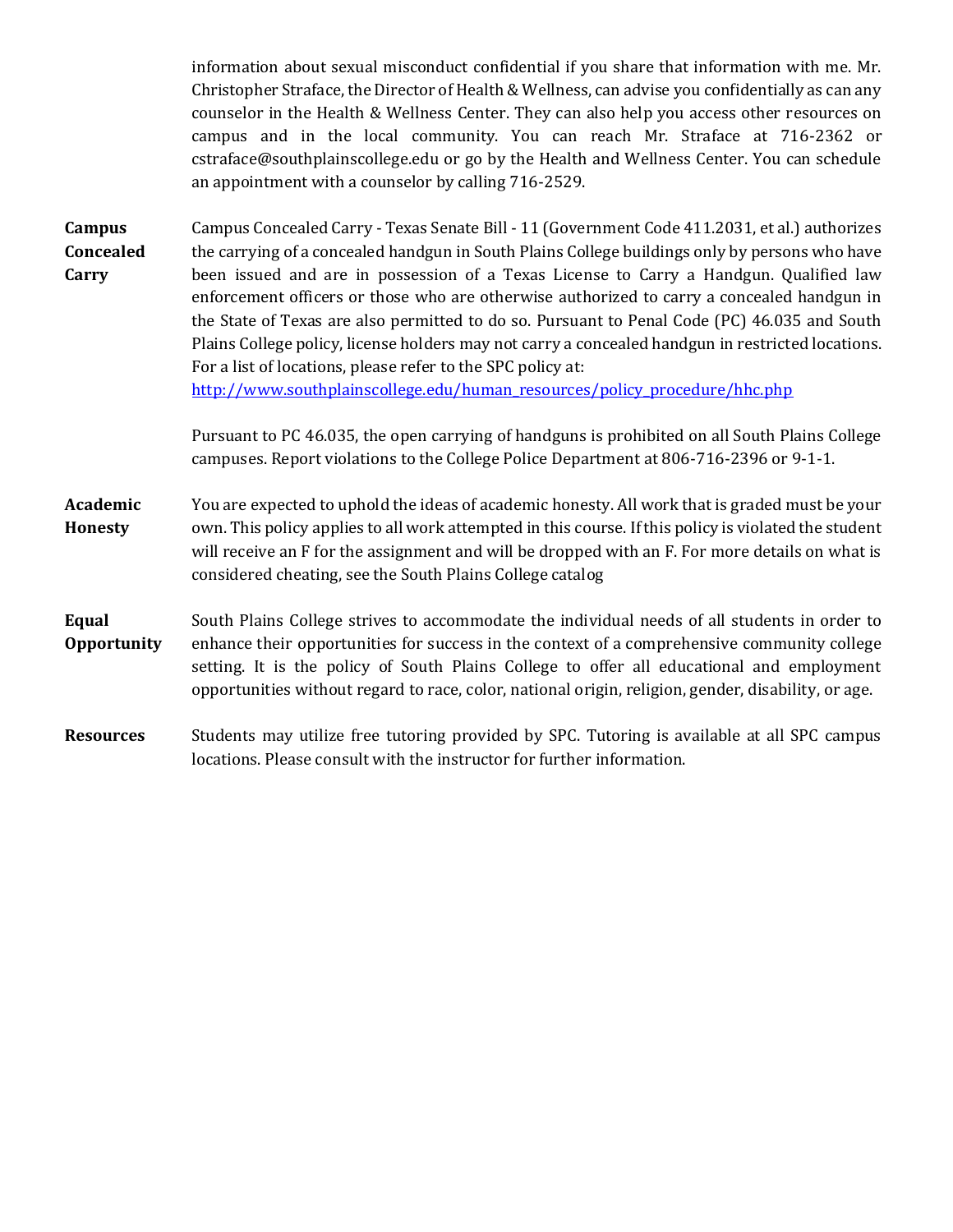information about sexual misconduct confidential if you share that information with me. Mr. Christopher Straface, the Director of Health & Wellness, can advise you confidentially as can any counselor in the Health & Wellness Center. They can also help you access other resources on campus and in the local community. You can reach Mr. Straface at 716-2362 or cstraface@southplainscollege.edu or go by the Health and Wellness Center. You can schedule an appointment with a counselor by calling 716-2529.

**Campus Concealed Carry** Campus Concealed Carry - Texas Senate Bill - 11 (Government Code 411.2031, et al.) authorizes the carrying of a concealed handgun in South Plains College buildings only by persons who have been issued and are in possession of a Texas License to Carry a Handgun. Qualified law enforcement officers or those who are otherwise authorized to carry a concealed handgun in the State of Texas are also permitted to do so. Pursuant to Penal Code (PC) 46.035 and South Plains College policy, license holders may not carry a concealed handgun in restricted locations. For a list of locations, please refer to the SPC policy at:

[http://www.southplainscollege.edu/human\\_resources/policy\\_procedure/hhc.php](http://www.southplainscollege.edu/human_resources/policy_procedure/hhc.php)

Pursuant to PC 46.035, the open carrying of handguns is prohibited on all South Plains College campuses. Report violations to the College Police Department at 806-716-2396 or 9-1-1.

**Academic Honesty** You are expected to uphold the ideas of academic honesty. All work that is graded must be your own. This policy applies to all work attempted in this course. If this policy is violated the student will receive an F for the assignment and will be dropped with an F. For more details on what is considered cheating, see the South Plains College catalog

**Equal Opportunity** South Plains College strives to accommodate the individual needs of all students in order to enhance their opportunities for success in the context of a comprehensive community college setting. It is the policy of South Plains College to offer all educational and employment opportunities without regard to race, color, national origin, religion, gender, disability, or age.

**Resources** Students may utilize free tutoring provided by SPC. Tutoring is available at all SPC campus locations. Please consult with the instructor for further information.